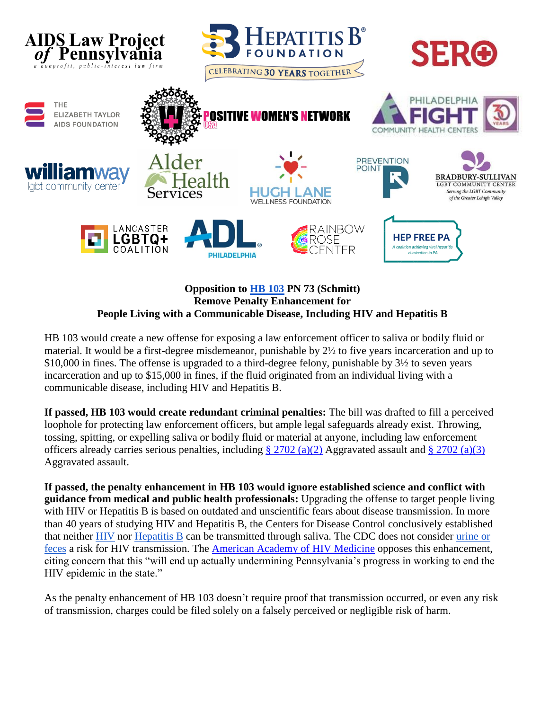

## **Opposition to [HB 103](https://www.legis.state.pa.us/cfdocs/billinfo/billinfo.cfm?syear=2021&sind=0&body=H&type=B&bn=103) PN 73 (Schmitt) Remove Penalty Enhancement for People Living with a Communicable Disease, Including HIV and Hepatitis B**

HB 103 would create a new offense for exposing a law enforcement officer to saliva or bodily fluid or material. It would be a first-degree misdemeanor, punishable by 2½ to five years incarceration and up to \$10,000 in fines. The offense is upgraded to a third-degree felony, punishable by 3½ to seven years incarceration and up to \$15,000 in fines, if the fluid originated from an individual living with a communicable disease, including HIV and Hepatitis B.

**If passed, HB 103 would create redundant criminal penalties:** The bill was drafted to fill a perceived loophole for protecting law enforcement officers, but ample legal safeguards already exist. Throwing, tossing, spitting, or expelling saliva or bodily fluid or material at anyone, including law enforcement officers already carries serious penalties, including  $\S 2702$  (a)(2) Aggravated assault and  $\S 2702$  (a)(3) Aggravated assault.

**If passed, the penalty enhancement in HB 103 would ignore established science and conflict with guidance from medical and public health professionals:** Upgrading the offense to target people living with HIV or Hepatitis B is based on outdated and unscientific fears about disease transmission. In more than 40 years of studying HIV and Hepatitis B, the Centers for Disease Control conclusively established that neither [HIV](https://www.cdc.gov/hiv/basics/hiv-transmission/not-transmitted.html) nor [Hepatitis B](https://www.cdc.gov/hepatitis/hbv/bfaq.htm) can be transmitted through saliva. The CDC does not consider [urine or](https://www.cdc.gov/hiv/basics/hiv-transmission/body-fluids.html)  [feces](https://www.cdc.gov/hiv/basics/hiv-transmission/body-fluids.html) a risk for HIV transmission. The [American Academy of HIV Medicine](https://www.aidslawpa.org/wp-content/uploads/2021/03/alert-02_AAHIVM-Letter-Regarding-Pennsylvania-HB103-FINAL.pdf) opposes this enhancement, citing concern that this "will end up actually undermining Pennsylvania's progress in working to end the HIV epidemic in the state."

As the penalty enhancement of HB 103 doesn't require proof that transmission occurred, or even any risk of transmission, charges could be filed solely on a falsely perceived or negligible risk of harm.